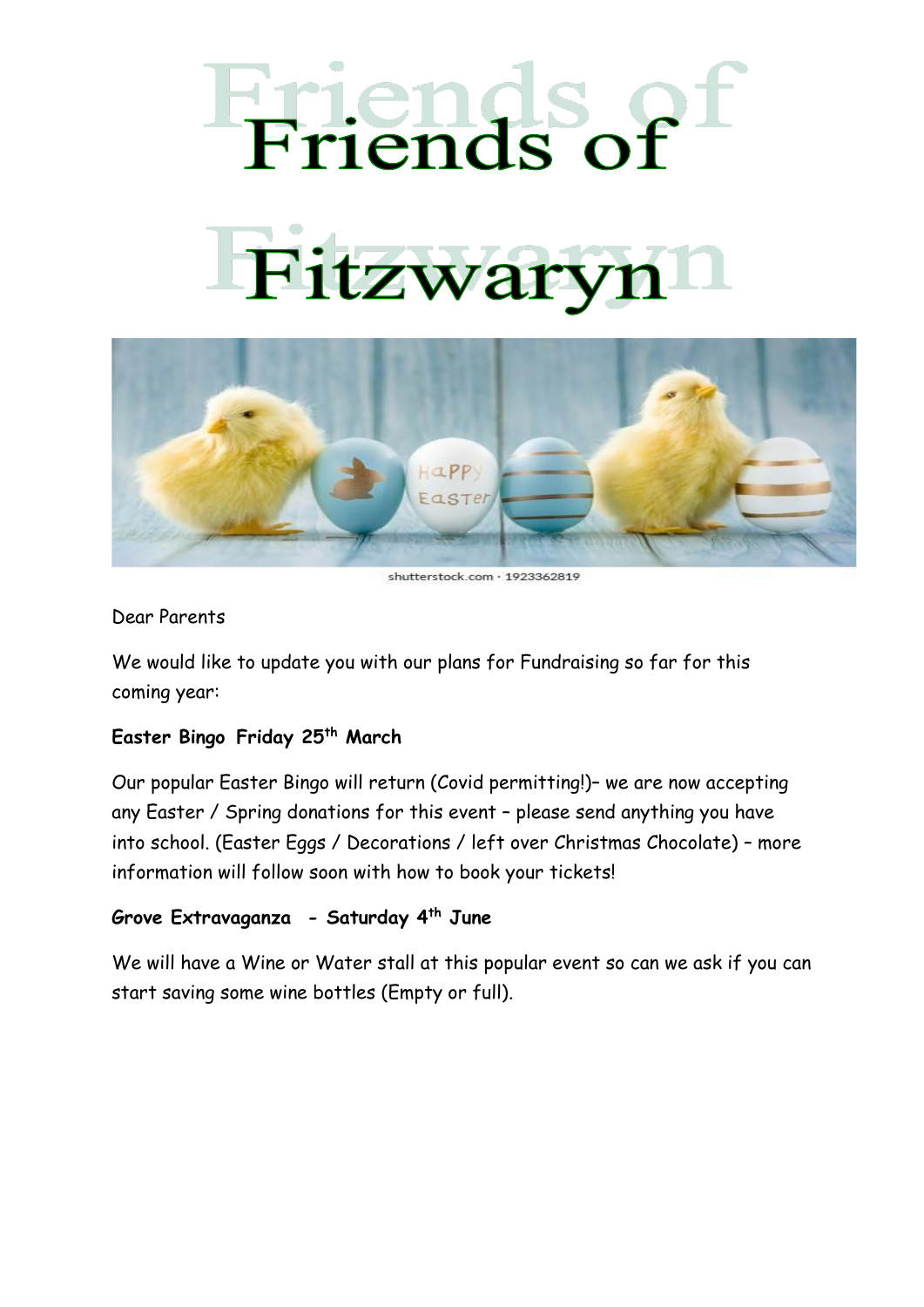## Friends of Fitzwary



shutterstock.com · 1923362819

## Dear Parents

We would like to update you with our plans for Fundraising so far for this coming year:

## **Easter Bingo Friday 25th March**

Our popular Easter Bingo will return (Covid permitting!)– we are now accepting any Easter / Spring donations for this event – please send anything you have into school. (Easter Eggs / Decorations / left over Christmas Chocolate) – more information will follow soon with how to book your tickets!

## **Grove Extravaganza - Saturday 4th June**

We will have a Wine or Water stall at this popular event so can we ask if you can start saving some wine bottles (Empty or full).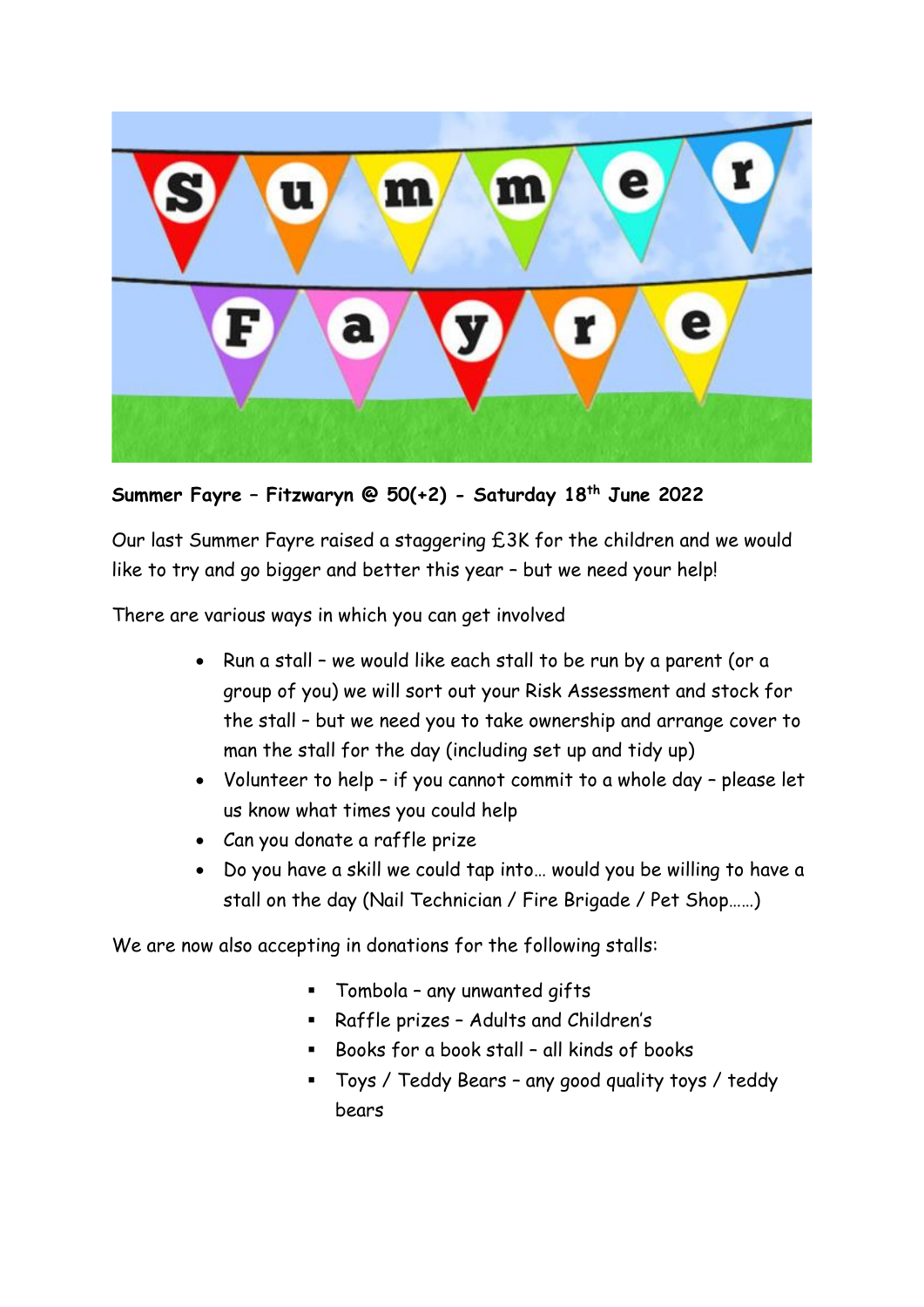

**Summer Fayre – Fitzwaryn @ 50(+2) - Saturday 18th June 2022**

Our last Summer Fayre raised a staggering £3K for the children and we would like to try and go bigger and better this year – but we need your help!

There are various ways in which you can get involved

- Run a stall we would like each stall to be run by a parent (or a group of you) we will sort out your Risk Assessment and stock for the stall – but we need you to take ownership and arrange cover to man the stall for the day (including set up and tidy up)
- Volunteer to help if you cannot commit to a whole day please let us know what times you could help
- Can you donate a raffle prize
- Do you have a skill we could tap into… would you be willing to have a stall on the day (Nail Technician / Fire Brigade / Pet Shop……)

We are now also accepting in donations for the following stalls:

- Tombola any unwanted gifts
- Raffle prizes Adults and Children's
- Books for a book stall all kinds of books
- Toys / Teddy Bears any good quality toys / teddy bears